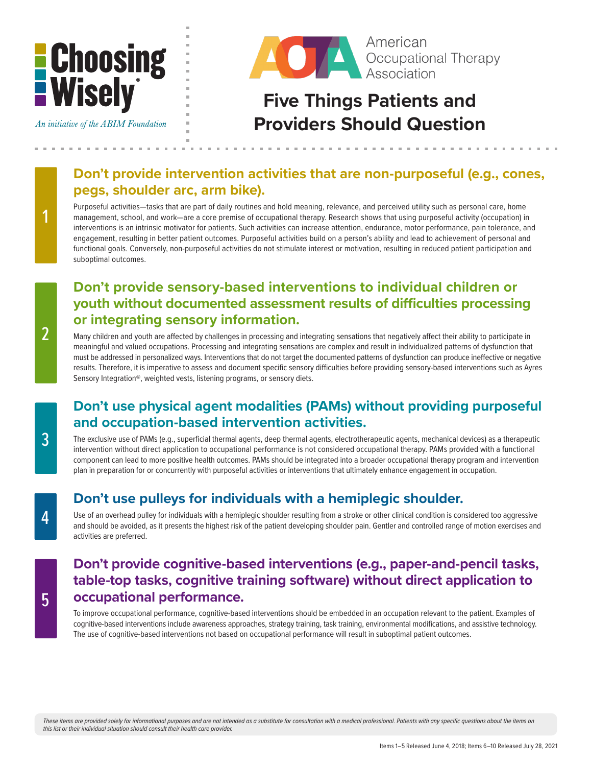# **E** Choosing<br>E Wisely





# **Five Things Patients and Providers Should Question**

#### **Don't provide intervention activities that are non-purposeful (e.g., cones, pegs, shoulder arc, arm bike).**

Purposeful activities—tasks that are part of daily routines and hold meaning, relevance, and perceived utility such as personal care, home management, school, and work—are a core premise of occupational therapy. Research shows that using purposeful activity (occupation) in interventions is an intrinsic motivator for patients. Such activities can increase attention, endurance, motor performance, pain tolerance, and engagement, resulting in better patient outcomes. Purposeful activities build on a person's ability and lead to achievement of personal and functional goals. Conversely, non-purposeful activities do not stimulate interest or motivation, resulting in reduced patient participation and suboptimal outcomes.

#### **Don't provide sensory-based interventions to individual children or youth without documented assessment results of difficulties processing or integrating sensory information.**

Many children and youth are affected by challenges in processing and integrating sensations that negatively affect their ability to participate in meaningful and valued occupations. Processing and integrating sensations are complex and result in individualized patterns of dysfunction that must be addressed in personalized ways. Interventions that do not target the documented patterns of dysfunction can produce ineffective or negative results. Therefore, it is imperative to assess and document specific sensory difficulties before providing sensory-based interventions such as Ayres Sensory Integration®, weighted vests, listening programs, or sensory diets.

#### **Don't use physical agent modalities (PAMs) without providing purposeful and occupation-based intervention activities.**

The exclusive use of PAMs (e.g., superficial thermal agents, deep thermal agents, electrotherapeutic agents, mechanical devices) as a therapeutic intervention without direct application to occupational performance is not considered occupational therapy. PAMs provided with a functional component can lead to more positive health outcomes. PAMs should be integrated into a broader occupational therapy program and intervention plan in preparation for or concurrently with purposeful activities or interventions that ultimately enhance engagement in occupation.

### **Don't use pulleys for individuals with a hemiplegic shoulder.**

Use of an overhead pulley for individuals with a hemiplegic shoulder resulting from a stroke or other clinical condition is considered too aggressive and should be avoided, as it presents the highest risk of the patient developing shoulder pain. Gentler and controlled range of motion exercises and activities are preferred.

#### **Don't provide cognitive-based interventions (e.g., paper-and-pencil tasks, table-top tasks, cognitive training software) without direct application to occupational performance.**

To improve occupational performance, cognitive-based interventions should be embedded in an occupation relevant to the patient. Examples of cognitive-based interventions include awareness approaches, strategy training, task training, environmental modifications, and assistive technology. The use of cognitive-based interventions not based on occupational performance will result in suboptimal patient outcomes.

*These items are provided solely for informational purposes and are not intended as a substitute for consultation with a medical professional. Patients with any specific questions about the items on this list or their individual situation should consult their health care provider.*

1

3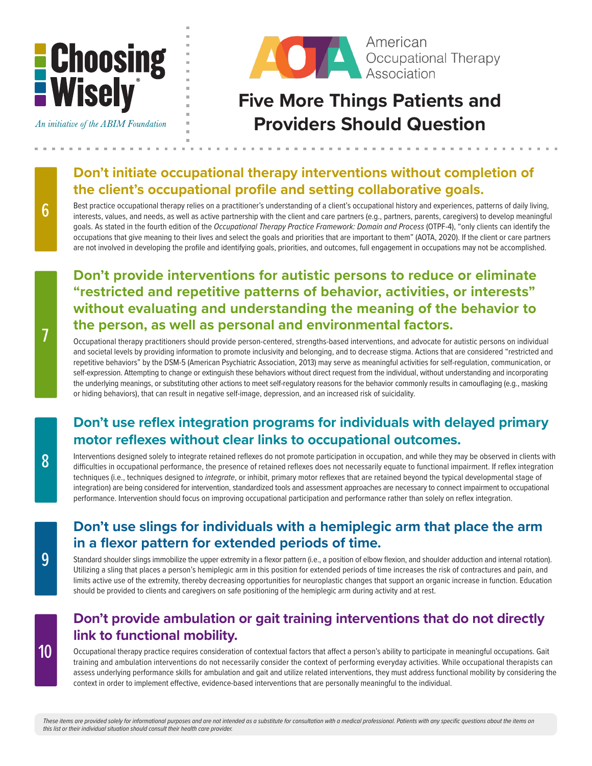

An initiative of the ABIM Foundation



## **Five More Things Patients and Providers Should Question**

#### **Don't initiate occupational therapy interventions without completion of the client's occupational profile and setting collaborative goals.**

Best practice occupational therapy relies on a practitioner's understanding of a client's occupational history and experiences, patterns of daily living, interests, values, and needs, as well as active partnership with the client and care partners (e.g., partners, parents, caregivers) to develop meaningful goals. As stated in the fourth edition of the *Occupational Therapy Practice Framework: Domain and Process* (OTPF-4), "only clients can identify the occupations that give meaning to their lives and select the goals and priorities that are important to them" (AOTA, 2020). If the client or care partners are not involved in developing the profile and identifying goals, priorities, and outcomes, full engagement in occupations may not be accomplished.

#### **Don't provide interventions for autistic persons to reduce or eliminate "restricted and repetitive patterns of behavior, activities, or interests" without evaluating and understanding the meaning of the behavior to the person, as well as personal and environmental factors.**

Occupational therapy practitioners should provide person-centered, strengths-based interventions, and advocate for autistic persons on individual and societal levels by providing information to promote inclusivity and belonging, and to decrease stigma. Actions that are considered "restricted and repetitive behaviors" by the DSM-5 (American Psychiatric Association, 2013) may serve as meaningful activities for self-regulation, communication, or self-expression. Attempting to change or extinguish these behaviors without direct request from the individual, without understanding and incorporating the underlying meanings, or substituting other actions to meet self-regulatory reasons for the behavior commonly results in camouflaging (e.g., masking or hiding behaviors), that can result in negative self-image, depression, and an increased risk of suicidality.

### **Don't use reflex integration programs for individuals with delayed primary motor reflexes without clear links to occupational outcomes.**

Interventions designed solely to integrate retained reflexes do not promote participation in occupation, and while they may be observed in clients with difficulties in occupational performance, the presence of retained reflexes does not necessarily equate to functional impairment. If reflex integration techniques (i.e., techniques designed to *integrate*, or inhibit, primary motor reflexes that are retained beyond the typical developmental stage of integration) are being considered for intervention, standardized tools and assessment approaches are necessary to connect impairment to occupational performance. Intervention should focus on improving occupational participation and performance rather than solely on reflex integration.

#### **Don't use slings for individuals with a hemiplegic arm that place the arm in a flexor pattern for extended periods of time.**

Standard shoulder slings immobilize the upper extremity in a flexor pattern (i.e., a position of elbow flexion, and shoulder adduction and internal rotation). Utilizing a sling that places a person's hemiplegic arm in this position for extended periods of time increases the risk of contractures and pain, and limits active use of the extremity, thereby decreasing opportunities for neuroplastic changes that support an organic increase in function. Education should be provided to clients and caregivers on safe positioning of the hemiplegic arm during activity and at rest.

#### **Don't provide ambulation or gait training interventions that do not directly link to functional mobility.**

Occupational therapy practice requires consideration of contextual factors that affect a person's ability to participate in meaningful occupations. Gait training and ambulation interventions do not necessarily consider the context of performing everyday activities. While occupational therapists can assess underlying performance skills for ambulation and gait and utilize related interventions, they must address functional mobility by considering the context in order to implement effective, evidence-based interventions that are personally meaningful to the individual.

6

9

8

*These items are provided solely for informational purposes and are not intended as a substitute for consultation with a medical professional. Patients with any specific questions about the items on this list or their individual situation should consult their health care provider.*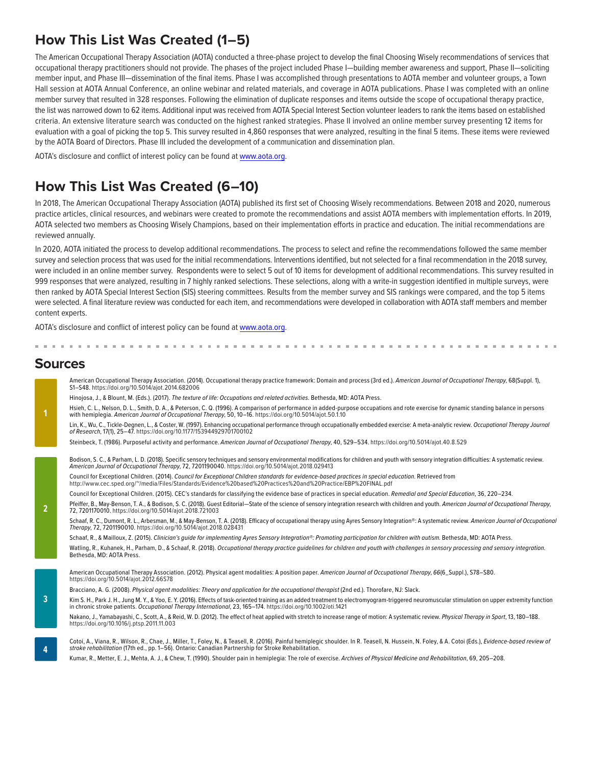#### **How This List Was Created (1–5)**

The American Occupational Therapy Association (AOTA) conducted a three-phase project to develop the final Choosing Wisely recommendations of services that occupational therapy practitioners should not provide. The phases of the project included Phase I—building member awareness and support, Phase II—soliciting member input, and Phase III—dissemination of the final items. Phase I was accomplished through presentations to AOTA member and volunteer groups, a Town Hall session at AOTA Annual Conference, an online webinar and related materials, and coverage in AOTA publications. Phase I was completed with an online member survey that resulted in 328 responses. Following the elimination of duplicate responses and items outside the scope of occupational therapy practice, the list was narrowed down to 62 items. Additional input was received from AOTA Special Interest Section volunteer leaders to rank the items based on established criteria. An extensive literature search was conducted on the highest ranked strategies. Phase II involved an online member survey presenting 12 items for evaluation with a goal of picking the top 5. This survey resulted in 4,860 responses that were analyzed, resulting in the final 5 items. These items were reviewed by the AOTA Board of Directors. Phase III included the development of a communication and dissemination plan.

AOTA's disclosure and conflict of interest policy can be found at [www.aota.org.](http://www.aota.org)

#### **How This List Was Created (6–10)**

In 2018, The American Occupational Therapy Association (AOTA) published its first set of Choosing Wisely recommendations. Between 2018 and 2020, numerous practice articles, clinical resources, and webinars were created to promote the recommendations and assist AOTA members with implementation efforts. In 2019, AOTA selected two members as Choosing Wisely Champions, based on their implementation efforts in practice and education. The initial recommendations are reviewed annually.

In 2020, AOTA initiated the process to develop additional recommendations. The process to select and refine the recommendations followed the same member survey and selection process that was used for the initial recommendations. Interventions identified, but not selected for a final recommendation in the 2018 survey, were included in an online member survey. Respondents were to select 5 out of 10 items for development of additional recommendations. This survey resulted in 999 responses that were analyzed, resulting in 7 highly ranked selections. These selections, along with a write-in suggestion identified in multiple surveys, were then ranked by AOTA Special Interest Section (SIS) steering committees. Results from the member survey and SIS rankings were compared, and the top 5 items were selected. A final literature review was conducted for each item, and recommendations were developed in collaboration with AOTA staff members and member content experts.

AOTA's disclosure and conflict of interest policy can be found at [www.aota.org.](http://www.aota.org)

#### **Sources**

|                | American Occupational Therapy Association. (2014). Occupational therapy practice framework: Domain and process (3rd ed.). American Journal of Occupational Therapy, 68(Suppl. 1),<br>S1-S48. https://doi.org/10.5014/ajot.2014.682006                                                                              |
|----------------|--------------------------------------------------------------------------------------------------------------------------------------------------------------------------------------------------------------------------------------------------------------------------------------------------------------------|
|                | Hinojosa, J., & Blount, M. (Eds.). (2017). The texture of life: Occupations and related activities. Bethesda, MD: AOTA Press.                                                                                                                                                                                      |
| 1              | Hsieh, C. L., Nelson, D. L., Smith, D. A., & Peterson, C. Q. (1996). A comparison of performance in added-purpose occupations and rote exercise for dynamic standing balance in persons<br>with hemiplegia. American Journal of Occupational Therapy, 50, 10-16. https://doi.org/10.5014/ajot.50.1.10              |
|                | Lin, K., Wu, C., Tickle-Degnen, L., & Coster, W. (1997). Enhancing occupational performance through occupationally embedded exercise: A meta-analytic review. Occupational Therapy Journal<br>of Research, 17(1), 25-47. https://doi.org/10.1177/153944929701700102                                                |
|                | Steinbeck, T. (1986). Purposeful activity and performance. American Journal of Occupational Therapy, 40, 529-534. https://doi.org/10.5014/ajot.40.8.529                                                                                                                                                            |
|                |                                                                                                                                                                                                                                                                                                                    |
|                | Bodison, S. C., & Parham, L. D. (2018). Specific sensory techniques and sensory environmental modifications for children and youth with sensory integration difficulties: A systematic review.<br>American Journal of Occupational Therapy, 72, 7201190040. https://doi.org/10.5014/ajot.2018.029413               |
|                | Council for Exceptional Children. (2014). Council for Exceptional Children standards for evidence-based practices in special education. Retrieved from<br>http://www.cec.sped.org/"/media/Files/Standards/Evidence%20based%20Practices%20and%20Practice/EBP%20FINAL.pdf                                            |
|                | Council for Exceptional Children. (2015). CEC's standards for classifying the evidence base of practices in special education. Remedial and Special Education, 36, 220-234.                                                                                                                                        |
| $\overline{2}$ | Pfeiffer, B., May-Benson, T.A., & Bodison, S.C. (2018). Guest Editorial—State of the science of sensory integration research with children and youth. American Journal of Occupational Therapy,<br>72, 7201170010. https://doi.org/10.5014/ajot.2018.721003                                                        |
|                | Schaaf, R. C., Dumont, R. L., Arbesman, M., & May-Benson, T. A. (2018). Efficacy of occupational therapy using Ayres Sensory Integration®: A systematic review. American Journal of Occupational<br>Therapy, 72, 7201190010. https://doi.org/10.5014/ajot.2018.028431                                              |
|                | Schaaf, R., & Mailloux, Z. (2015). Clinician's quide for implementing Ayres Sensory Integration®: Promoting participation for children with autism. Bethesda, MD: AOTA Press.                                                                                                                                      |
|                | Watling, R., Kuhanek, H., Parham, D., & Schaaf, R. (2018). Occupational therapy practice quidelines for children and youth with challenges in sensory processing and sensory integration.<br>Bethesda, MD: AOTA Press.                                                                                             |
|                |                                                                                                                                                                                                                                                                                                                    |
|                | American Occupational Therapy Association. (2012). Physical agent modalities: A position paper. American Journal of Occupational Therapy, 66(6_Suppl.), S78-S80.<br>https://doi.org/10.5014/ajot.2012.66S78                                                                                                        |
|                | Bracciano, A. G. (2008). Physical agent modalities: Theory and application for the occupational therapist (2nd ed.). Thorofare, NJ: Slack.                                                                                                                                                                         |
| $\overline{3}$ | Kim S. H., Park J. H., Jung M. Y., & Yoo, E. Y. (2016). Effects of task-oriented training as an added treatment to electromyogram-triggered neuromuscular stimulation on upper extremity function<br>in chronic stroke patients. Occupational Therapy International, 23, 165-174. https://doi.org/10.1002/oti.1421 |
|                | Nakano, J., Yamabayashi, C., Scott, A., & Reid, W. D. (2012). The effect of heat applied with stretch to increase range of motion: A systematic review. Physical Therapy in Sport, 13, 180-188.<br>https://doi.org/10.1016/j.ptsp.2011.11.003                                                                      |
| 4              | Cotoi, A., Viana, R., Wilson, R., Chae, J., Miller, T., Foley, N., & Teasell, R. (2016). Painful hemiplegic shoulder. In R. Teasell, N. Hussein, N. Foley, & A. Cotoi (Eds.), Evidence-based review of<br>stroke rehabilitation (17th ed., pp. 1-56). Ontario: Canadian Partnership for Stroke Rehabilitation.     |
|                | Kumar, R., Metter, E. J., Mehta, A. J., & Chew, T. (1990). Shoulder pain in hemiplegia: The role of exercise. Archives of Physical Medicine and Rehabilitation, 69, 205-208.                                                                                                                                       |
|                |                                                                                                                                                                                                                                                                                                                    |
|                |                                                                                                                                                                                                                                                                                                                    |